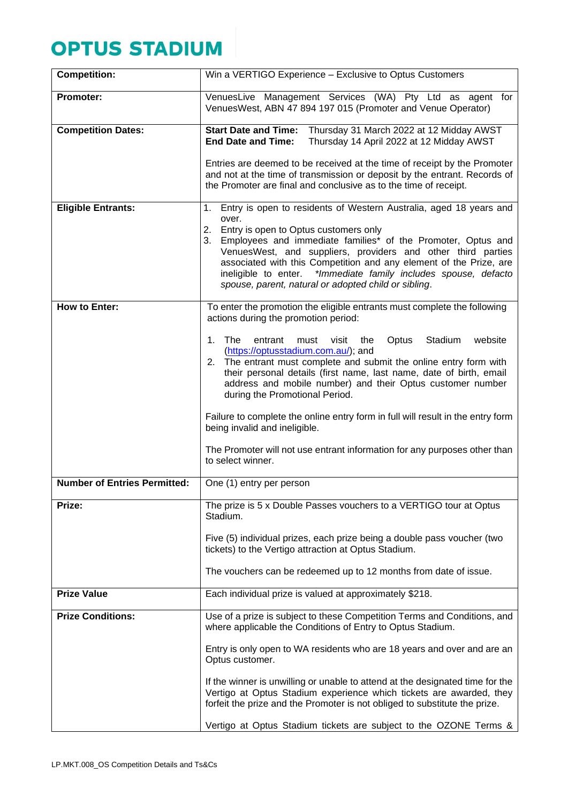## **OPTUS STADIUM**

| <b>Competition:</b>                 | Win a VERTIGO Experience - Exclusive to Optus Customers                                                                                                                                                                                                                                                                                                                         |
|-------------------------------------|---------------------------------------------------------------------------------------------------------------------------------------------------------------------------------------------------------------------------------------------------------------------------------------------------------------------------------------------------------------------------------|
| <b>Promoter:</b>                    | VenuesLive Management Services (WA) Pty Ltd as agent for<br>VenuesWest, ABN 47 894 197 015 (Promoter and Venue Operator)                                                                                                                                                                                                                                                        |
| <b>Competition Dates:</b>           | Start Date and Time: Thursday 31 March 2022 at 12 Midday AWST<br><b>End Date and Time:</b><br>Thursday 14 April 2022 at 12 Midday AWST                                                                                                                                                                                                                                          |
|                                     | Entries are deemed to be received at the time of receipt by the Promoter<br>and not at the time of transmission or deposit by the entrant. Records of<br>the Promoter are final and conclusive as to the time of receipt.                                                                                                                                                       |
| <b>Eligible Entrants:</b>           | 1. Entry is open to residents of Western Australia, aged 18 years and<br>over.                                                                                                                                                                                                                                                                                                  |
|                                     | 2. Entry is open to Optus customers only<br>3. Employees and immediate families* of the Promoter, Optus and<br>VenuesWest, and suppliers, providers and other third parties<br>associated with this Competition and any element of the Prize, are<br>*Immediate family includes spouse, defacto<br>ineligible to enter.<br>spouse, parent, natural or adopted child or sibling. |
| <b>How to Enter:</b>                | To enter the promotion the eligible entrants must complete the following<br>actions during the promotion period:                                                                                                                                                                                                                                                                |
|                                     | 1 <sub>1</sub><br>The<br>Stadium<br>website<br>entrant<br>must<br>visit<br>Optus<br>the<br>(https://optusstadium.com.au/); and<br>2. The entrant must complete and submit the online entry form with<br>their personal details (first name, last name, date of birth, email<br>address and mobile number) and their Optus customer number<br>during the Promotional Period.     |
|                                     | Failure to complete the online entry form in full will result in the entry form<br>being invalid and ineligible.                                                                                                                                                                                                                                                                |
|                                     | The Promoter will not use entrant information for any purposes other than<br>to select winner.                                                                                                                                                                                                                                                                                  |
| <b>Number of Entries Permitted:</b> | One (1) entry per person                                                                                                                                                                                                                                                                                                                                                        |
| Prize:                              | The prize is 5 x Double Passes vouchers to a VERTIGO tour at Optus<br>Stadium.                                                                                                                                                                                                                                                                                                  |
|                                     | Five (5) individual prizes, each prize being a double pass voucher (two<br>tickets) to the Vertigo attraction at Optus Stadium.                                                                                                                                                                                                                                                 |
|                                     | The vouchers can be redeemed up to 12 months from date of issue.                                                                                                                                                                                                                                                                                                                |
| <b>Prize Value</b>                  | Each individual prize is valued at approximately \$218.                                                                                                                                                                                                                                                                                                                         |
| <b>Prize Conditions:</b>            | Use of a prize is subject to these Competition Terms and Conditions, and<br>where applicable the Conditions of Entry to Optus Stadium.                                                                                                                                                                                                                                          |
|                                     | Entry is only open to WA residents who are 18 years and over and are an<br>Optus customer.                                                                                                                                                                                                                                                                                      |
|                                     | If the winner is unwilling or unable to attend at the designated time for the<br>Vertigo at Optus Stadium experience which tickets are awarded, they<br>forfeit the prize and the Promoter is not obliged to substitute the prize.                                                                                                                                              |
|                                     | Vertigo at Optus Stadium tickets are subject to the OZONE Terms &                                                                                                                                                                                                                                                                                                               |